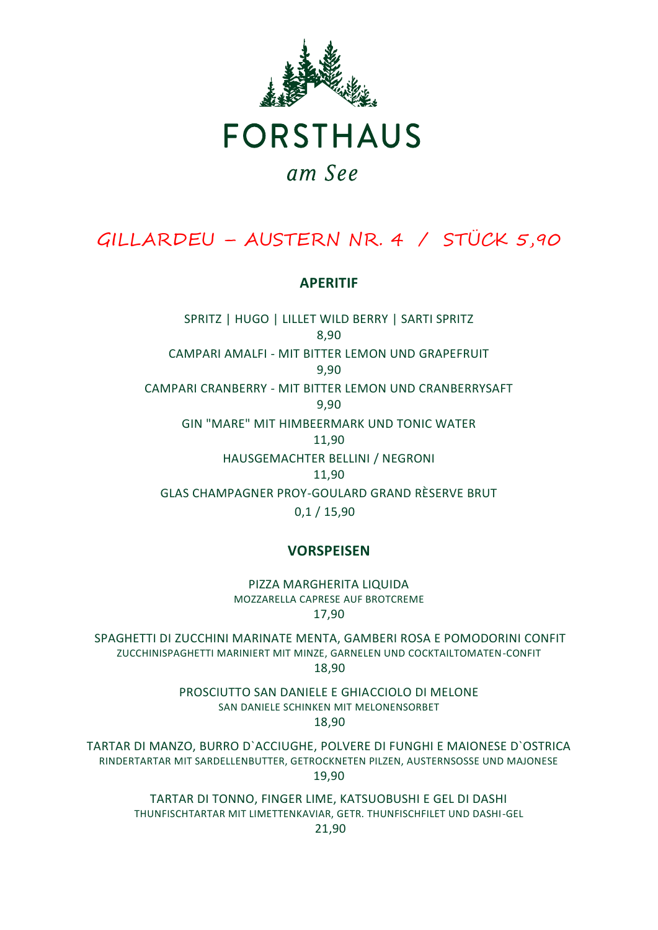

**FORSTHAUS** 

# am See

# GILLARDEU – AUSTERN NR. 4 / STÜCK 5,90

#### **APERITIF**

SPRITZ | HUGO | LILLET WILD BERRY | SARTI SPRITZ 8,90 CAMPARI AMALFI - MIT BITTER LEMON UND GRAPEFRUIT 9,90 CAMPARI CRANBERRY - MIT BITTER LEMON UND CRANBERRYSAFT 9,90 GIN "MARE" MIT HIMBEERMARK UND TONIC WATER 11,90 HAUSGEMACHTER BELLINI / NEGRONI 11,90 GLAS CHAMPAGNER PROY-GOULARD GRAND RÈSERVE BRUT 0,1 / 15,90

#### **VORSPEISEN**

PIZZA MARGHERITA LIQUIDA MOZZARELLA CAPRESE AUF BROTCREME 17,90

SPAGHETTI DI ZUCCHINI MARINATE MENTA, GAMBERI ROSA E POMODORINI CONFIT ZUCCHINISPAGHETTI MARINIERT MIT MINZE, GARNELEN UND COCKTAILTOMATEN-CONFIT 18,90

PROSCIUTTO SAN DANIELE E GHIACCIOLO DI MELONE SAN DANIELE SCHINKEN MIT MELONENSORBET 18,90

TARTAR DI MANZO, BURRO D`ACCIUGHE, POLVERE DI FUNGHI E MAIONESE D`OSTRICA RINDERTARTAR MIT SARDELLENBUTTER, GETROCKNETEN PILZEN, AUSTERNSOSSE UND MAJONESE 19,90

TARTAR DI TONNO, FINGER LIME, KATSUOBUSHI E GEL DI DASHI THUNFISCHTARTAR MIT LIMETTENKAVIAR, GETR. THUNFISCHFILET UND DASHI-GEL 21,90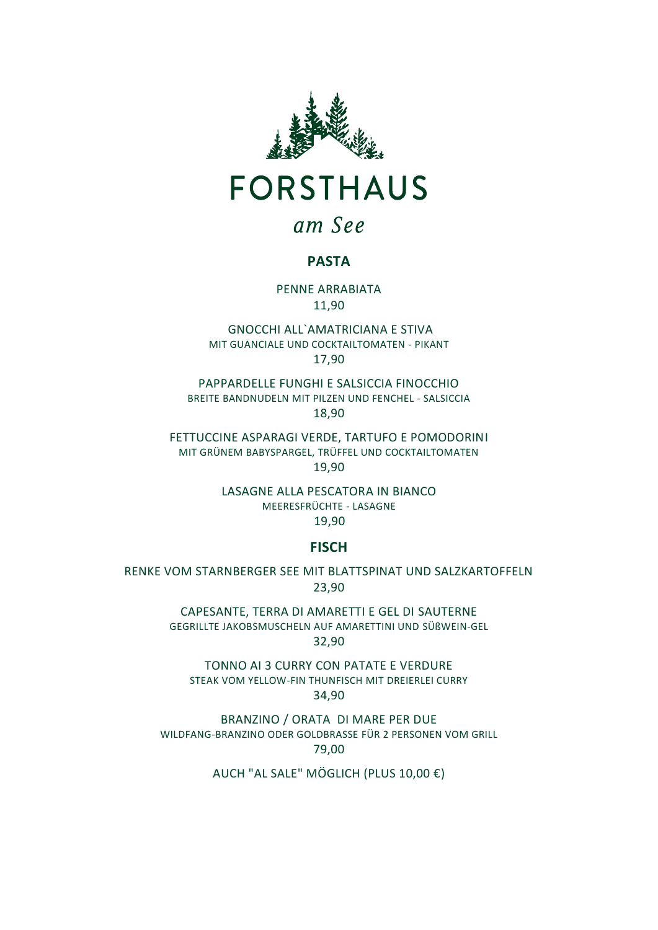

## am See

#### **PASTA**

PENNE ARRABIATA 11,90

GNOCCHI ALL`AMATRICIANA E STIVA MIT GUANCIALE UND COCKTAILTOMATEN - PIKANT 17,90

PAPPARDELLE FUNGHI E SALSICCIA FINOCCHIO BREITE BANDNUDELN MIT PILZEN UND FENCHEL - SALSICCIA 18,90

FETTUCCINE ASPARAGI VERDE, TARTUFO E POMODORINI MIT GRÜNEM BABYSPARGEL, TRÜFFEL UND COCKTAILTOMATEN 19,90

LASAGNE ALLA PESCATORA IN BIANCO MEERESFRÜCHTE - LASAGNE 19,90

#### **FISCH**

RENKE VOM STARNBERGER SEE MIT BLATTSPINAT UND SALZKARTOFFELN 23,90

> CAPESANTE, TERRA DI AMARETTI E GEL DI SAUTERNE GEGRILLTE JAKOBSMUSCHELN AUF AMARETTINI UND SÜßWEIN-GEL 32,90

TONNO AI 3 CURRY CON PATATE E VERDURE STEAK VOM YELLOW-FIN THUNFISCH MIT DREIERLEI CURRY 34,90

BRANZINO / ORATA DI MARE PER DUE WILDFANG-BRANZINO ODER GOLDBRASSE FÜR 2 PERSONEN VOM GRILL 79,00

AUCH "AL SALE" MÖGLICH (PLUS 10,00 €)